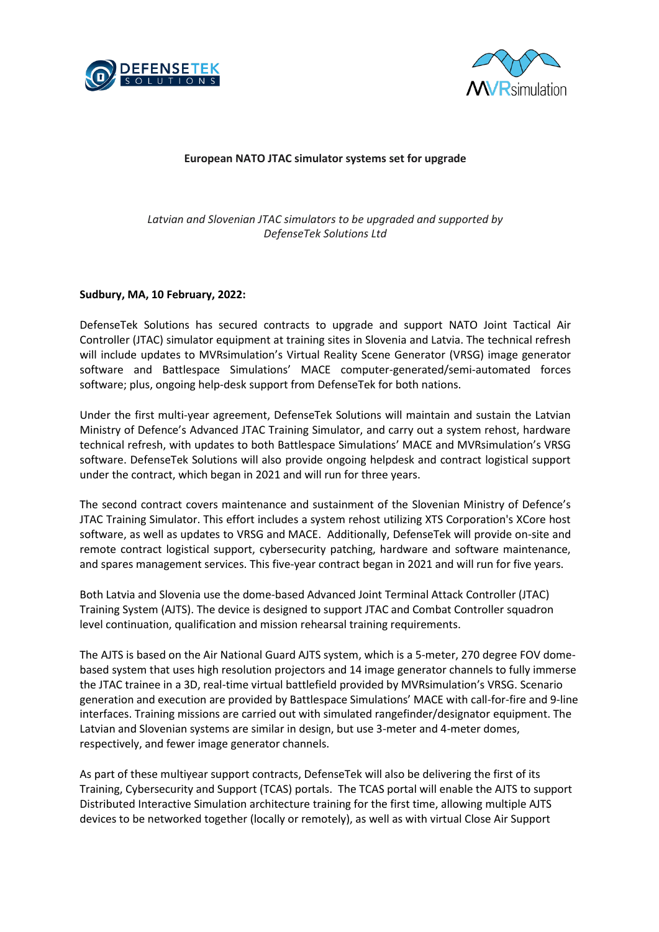



### **European NATO JTAC simulator systems set for upgrade**

# *Latvian and Slovenian JTAC simulators to be upgraded and supported by DefenseTek Solutions Ltd*

#### **Sudbury, MA, 10 February, 2022:**

DefenseTek Solutions has secured contracts to upgrade and support NATO Joint Tactical Air Controller (JTAC) simulator equipment at training sites in Slovenia and Latvia. The technical refresh will include updates to MVRsimulation's Virtual Reality Scene Generator (VRSG) image generator software and Battlespace Simulations' MACE computer-generated/semi-automated forces software; plus, ongoing help-desk support from DefenseTek for both nations.

Under the first multi-year agreement, DefenseTek Solutions will maintain and sustain the Latvian Ministry of Defence's Advanced JTAC Training Simulator, and carry out a system rehost, hardware technical refresh, with updates to both Battlespace Simulations' MACE and MVRsimulation's VRSG software. DefenseTek Solutions will also provide ongoing helpdesk and contract logistical support under the contract, which began in 2021 and will run for three years.

The second contract covers maintenance and sustainment of the Slovenian Ministry of Defence's JTAC Training Simulator. This effort includes a system rehost utilizing XTS Corporation's XCore host software, as well as updates to VRSG and MACE. Additionally, DefenseTek will provide on-site and remote contract logistical support, cybersecurity patching, hardware and software maintenance, and spares management services. This five-year contract began in 2021 and will run for five years.

Both Latvia and Slovenia use the dome-based Advanced Joint Terminal Attack Controller (JTAC) Training System (AJTS). The device is designed to support JTAC and Combat Controller squadron level continuation, qualification and mission rehearsal training requirements.

The AJTS is based on the Air National Guard AJTS system, which is a 5-meter, 270 degree FOV domebased system that uses high resolution projectors and 14 image generator channels to fully immerse the JTAC trainee in a 3D, real-time virtual battlefield provided by MVRsimulation's VRSG. Scenario generation and execution are provided by Battlespace Simulations' MACE with call-for-fire and 9-line interfaces. Training missions are carried out with simulated rangefinder/designator equipment. The Latvian and Slovenian systems are similar in design, but use 3-meter and 4-meter domes, respectively, and fewer image generator channels.

As part of these multiyear support contracts, DefenseTek will also be delivering the first of its Training, Cybersecurity and Support (TCAS) portals. The TCAS portal will enable the AJTS to support Distributed Interactive Simulation architecture training for the first time, allowing multiple AJTS devices to be networked together (locally or remotely), as well as with virtual Close Air Support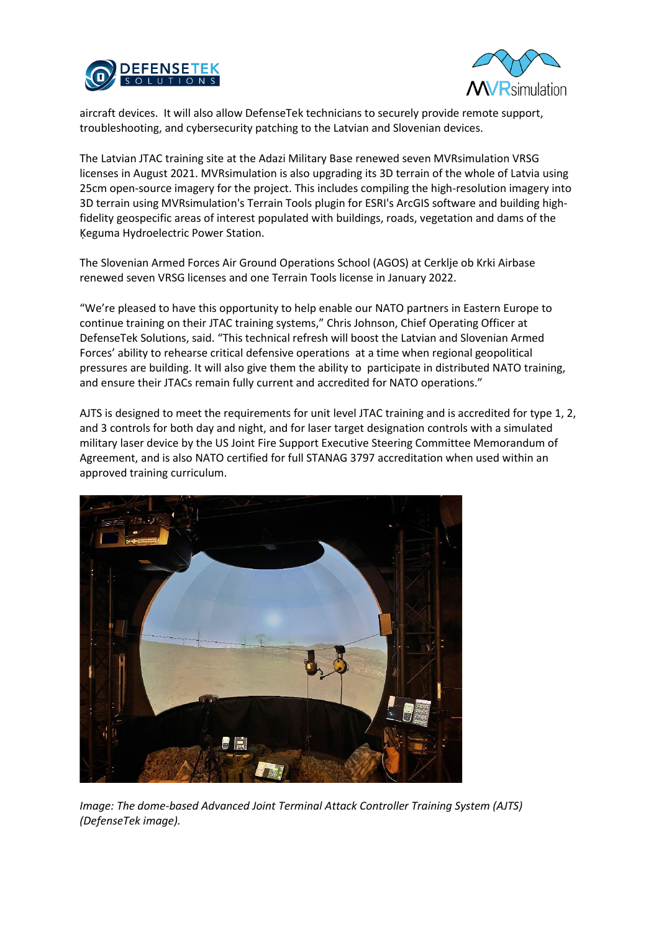



aircraft devices. It will also allow DefenseTek technicians to securely provide remote support, troubleshooting, and cybersecurity patching to the Latvian and Slovenian devices.

The Latvian JTAC training site at the Adazi Military Base renewed seven MVRsimulation VRSG licenses in August 2021. MVRsimulation is also upgrading its 3D terrain of the whole of Latvia using 25cm open-source imagery for the project. This includes compiling the high-resolution imagery into 3D terrain using MVRsimulation's Terrain Tools plugin for ESRI's ArcGIS software and building highfidelity geospecific areas of interest populated with buildings, roads, vegetation and dams of the Ķeguma Hydroelectric Power Station.

The Slovenian Armed Forces Air Ground Operations School (AGOS) at Cerklje ob Krki Airbase renewed seven VRSG licenses and one Terrain Tools license in January 2022.

"We're pleased to have this opportunity to help enable our NATO partners in Eastern Europe to continue training on their JTAC training systems," Chris Johnson, Chief Operating Officer at DefenseTek Solutions, said. "This technical refresh will boost the Latvian and Slovenian Armed Forces' ability to rehearse critical defensive operations at a time when regional geopolitical pressures are building. It will also give them the ability to participate in distributed NATO training, and ensure their JTACs remain fully current and accredited for NATO operations."

AJTS is designed to meet the requirements for unit level JTAC training and is accredited for type 1, 2, and 3 controls for both day and night, and for laser target designation controls with a simulated military laser device by the US Joint Fire Support Executive Steering Committee Memorandum of Agreement, and is also NATO certified for full STANAG 3797 accreditation when used within an approved training curriculum.



*Image: The dome-based Advanced Joint Terminal Attack Controller Training System (AJTS) (DefenseTek image).*